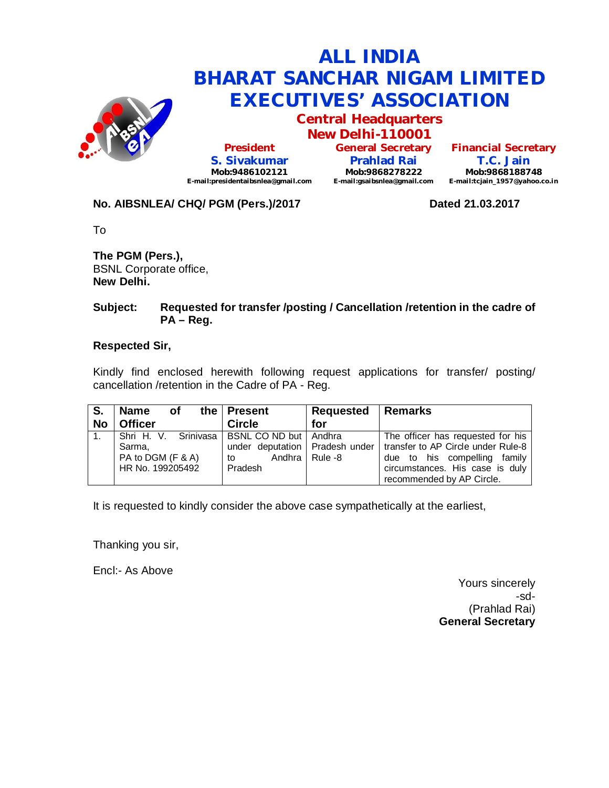

**Central Headquarters**

**New Delhi-110001 President S. Sivakumar Mob:9486102121 E-mail:presidentaibsnlea@gmail.com**

**General Secretary Prahlad Rai Mob:9868278222 E-mail:gsaibsnlea@gmail.com**

**Financial Secretary T.C. Jain Mob:9868188748 E-mail:tcjain\_1957@yahoo.co.in**

## No. AIBSNLEA/ CHQ/ PGM (Pers.)/2017 **Dated 21.03.2017**

To

**The PGM (Pers.),** BSNL Corporate office, **New Delhi.**

#### **Subject: Requested for transfer /posting / Cancellation /retention in the cadre of PA – Reg.**

### **Respected Sir,**

Kindly find enclosed herewith following request applications for transfer/ posting/ cancellation /retention in the Cadre of PA - Reg.

| S.        | <b>Name</b><br>Οf    | the   Present           | Requested   Remarks |                                                                       |
|-----------|----------------------|-------------------------|---------------------|-----------------------------------------------------------------------|
| <b>No</b> | <b>Officer</b>       | <b>Circle</b>           | for                 |                                                                       |
| 1.        | Shri H. V. Srinivasa | BSNL CO ND but   Andhra |                     | The officer has requested for his                                     |
|           | Sarma,               |                         |                     | under deputation   Pradesh under   transfer to AP Circle under Rule-8 |
|           | PA to DGM (F & A)    | to                      | Andhra   Rule -8    | due to his compelling family                                          |
|           | HR No. 199205492     | Pradesh                 |                     | circumstances. His case is duly                                       |
|           |                      |                         |                     | recommended by AP Circle.                                             |

It is requested to kindly consider the above case sympathetically at the earliest,

Thanking you sir,

Encl:- As Above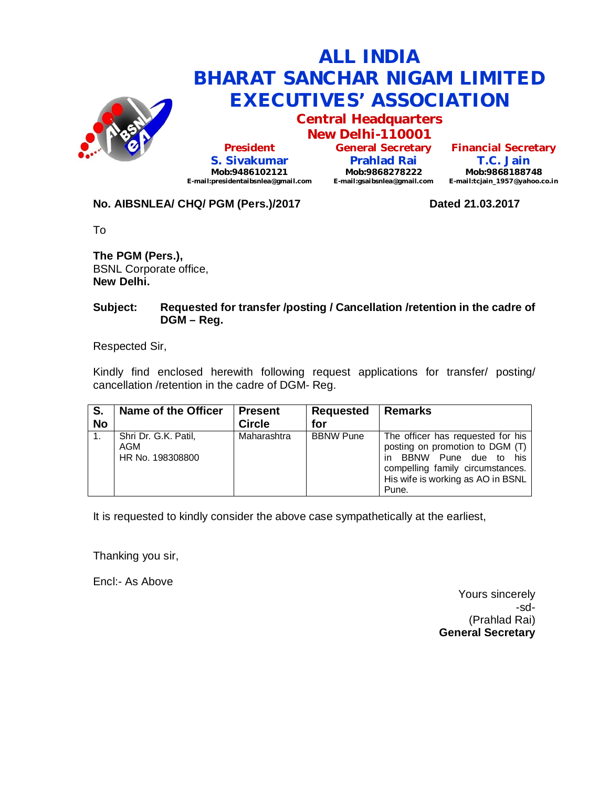

**Central Headquarters**

**New Delhi-110001 President S. Sivakumar Mob:9486102121 E-mail:presidentaibsnlea@gmail.com**

**General Secretary Prahlad Rai Mob:9868278222 E-mail:gsaibsnlea@gmail.com**

**Financial Secretary T.C. Jain Mob:9868188748 E-mail:tcjain\_1957@yahoo.co.in**

## No. AIBSNLEA/ CHQ/ PGM (Pers.)/2017 **Dated 21.03.2017**

To

**The PGM (Pers.),** BSNL Corporate office, **New Delhi.**

#### **Subject: Requested for transfer /posting / Cancellation /retention in the cadre of DGM – Reg.**

Respected Sir,

Kindly find enclosed herewith following request applications for transfer/ posting/ cancellation /retention in the cadre of DGM- Reg.

| S.<br><b>No</b> | Name of the Officer                             | <b>Present</b><br><b>Circle</b> | Requested<br>for | <b>Remarks</b>                                                                                                                                                                              |
|-----------------|-------------------------------------------------|---------------------------------|------------------|---------------------------------------------------------------------------------------------------------------------------------------------------------------------------------------------|
|                 | Shri Dr. G.K. Patil,<br>AGM<br>HR No. 198308800 | Maharashtra                     | <b>BBNW Pune</b> | The officer has requested for his<br>posting on promotion to DGM (T)<br>BBNW Pune<br>due to<br>his<br>in.<br>compelling family circumstances.<br>His wife is working as AO in BSNL<br>Pune. |

It is requested to kindly consider the above case sympathetically at the earliest,

Thanking you sir,

Encl:- As Above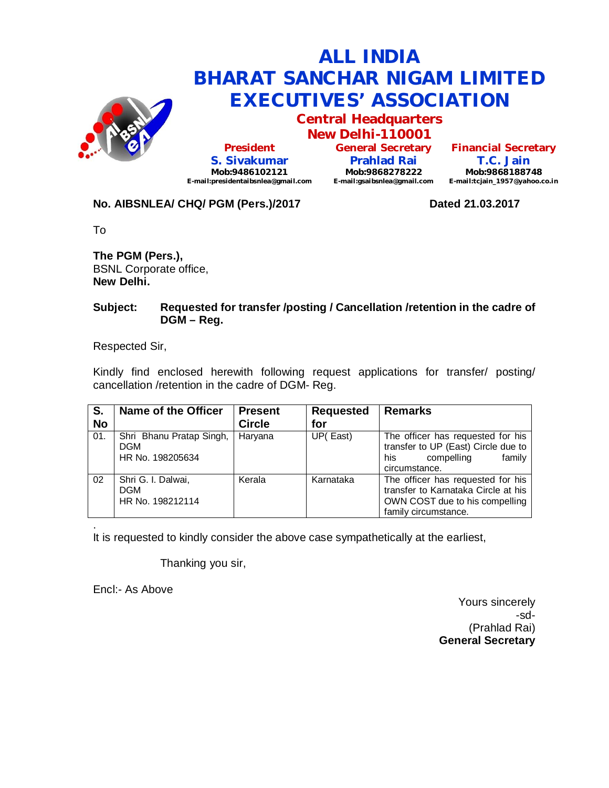

**Central Headquarters**

**New Delhi-110001 President S. Sivakumar Mob:9486102121 E-mail:presidentaibsnlea@gmail.com**

**General Secretary Prahlad Rai Mob:9868278222 E-mail:gsaibsnlea@gmail.com**

**Financial Secretary T.C. Jain Mob:9868188748 E-mail:tcjain\_1957@yahoo.co.in**

## No. AIBSNLEA/ CHQ/ PGM (Pers.)/2017 **Dated 21.03.2017**

To

**The PGM (Pers.),** BSNL Corporate office, **New Delhi.**

#### **Subject: Requested for transfer /posting / Cancellation /retention in the cadre of DGM – Reg.**

Respected Sir,

Kindly find enclosed herewith following request applications for transfer/ posting/ cancellation /retention in the cadre of DGM- Reg.

| S.<br><b>No</b> | <b>Name of the Officer</b>                                 | <b>Present</b><br><b>Circle</b> | <b>Requested</b><br>for | <b>Remarks</b>                                                                                                                     |
|-----------------|------------------------------------------------------------|---------------------------------|-------------------------|------------------------------------------------------------------------------------------------------------------------------------|
| 01.             | Shri Bhanu Pratap Singh,<br><b>DGM</b><br>HR No. 198205634 | Haryana                         | UP(East)                | The officer has requested for his<br>transfer to UP (East) Circle due to<br>compelling<br>family<br>his<br>circumstance.           |
| 02              | Shri G. I. Dalwai,<br><b>DGM</b><br>HR No. 198212114       | Kerala                          | Karnataka               | The officer has requested for his<br>transfer to Karnataka Circle at his<br>OWN COST due to his compelling<br>family circumstance. |

. It is requested to kindly consider the above case sympathetically at the earliest,

Thanking you sir,

Encl:- As Above